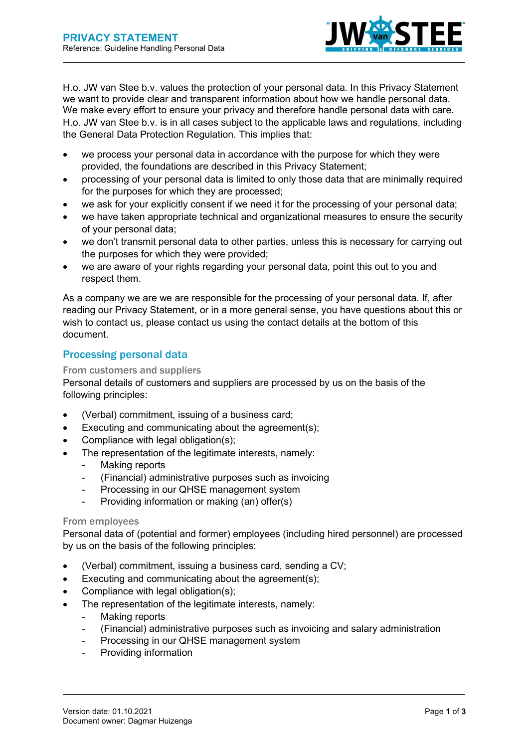

H.o. JW van Stee b.v. values the protection of your personal data. In this Privacy Statement we want to provide clear and transparent information about how we handle personal data. We make every effort to ensure your privacy and therefore handle personal data with care. H.o. JW van Stee b.v. is in all cases subject to the applicable laws and regulations, including the General Data Protection Regulation. This implies that:

- we process your personal data in accordance with the purpose for which they were provided, the foundations are described in this Privacy Statement;
- processing of your personal data is limited to only those data that are minimally required for the purposes for which they are processed;
- we ask for your explicitly consent if we need it for the processing of your personal data;
- we have taken appropriate technical and organizational measures to ensure the security of your personal data;
- we don't transmit personal data to other parties, unless this is necessary for carrying out the purposes for which they were provided;
- we are aware of your rights regarding your personal data, point this out to you and respect them.

As a company we are we are responsible for the processing of your personal data. If, after reading our Privacy Statement, or in a more general sense, you have questions about this or wish to contact us, please contact us using the contact details at the bottom of this document.

# Processing personal data

### From customers and suppliers

Personal details of customers and suppliers are processed by us on the basis of the following principles:

- (Verbal) commitment, issuing of a business card;
- Executing and communicating about the agreement(s);
- Compliance with legal obligation(s);
- The representation of the legitimate interests, namely:
	- Making reports
	- (Financial) administrative purposes such as invoicing
	- Processing in our QHSE management system
	- Providing information or making (an) offer(s)

#### From employees

Personal data of (potential and former) employees (including hired personnel) are processed by us on the basis of the following principles:

- (Verbal) commitment, issuing a business card, sending a CV;
- Executing and communicating about the agreement(s);
- Compliance with legal obligation(s);
- The representation of the legitimate interests, namely:
	- Making reports
		- (Financial) administrative purposes such as invoicing and salary administration
	- Processing in our QHSE management system
	- Providing information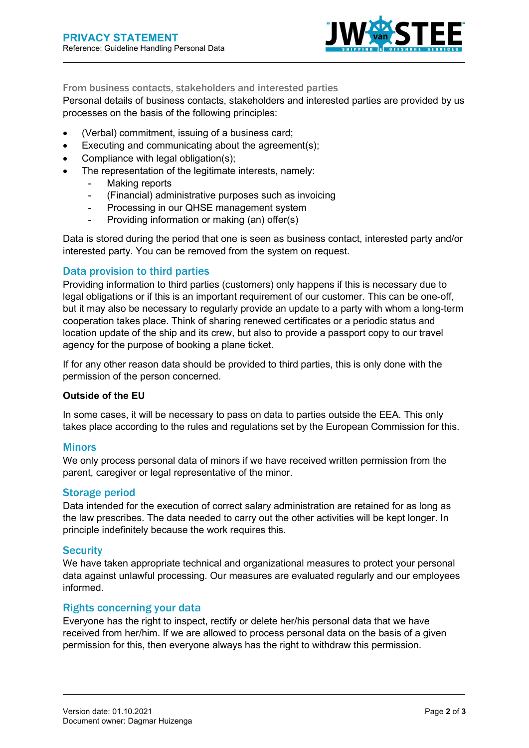

#### From business contacts, stakeholders and interested parties

Personal details of business contacts, stakeholders and interested parties are provided by us processes on the basis of the following principles:

- (Verbal) commitment, issuing of a business card;
- Executing and communicating about the agreement(s);
- Compliance with legal obligation(s);
- The representation of the legitimate interests, namely:
	- Making reports
	- (Financial) administrative purposes such as invoicing
	- Processing in our QHSE management system
	- Providing information or making (an) offer(s)

Data is stored during the period that one is seen as business contact, interested party and/or interested party. You can be removed from the system on request.

#### Data provision to third parties

Providing information to third parties (customers) only happens if this is necessary due to legal obligations or if this is an important requirement of our customer. This can be one-off, but it may also be necessary to regularly provide an update to a party with whom a long-term cooperation takes place. Think of sharing renewed certificates or a periodic status and location update of the ship and its crew, but also to provide a passport copy to our travel agency for the purpose of booking a plane ticket.

If for any other reason data should be provided to third parties, this is only done with the permission of the person concerned.

#### Outside of the EU

In some cases, it will be necessary to pass on data to parties outside the EEA. This only takes place according to the rules and regulations set by the European Commission for this.

#### **Minors**

We only process personal data of minors if we have received written permission from the parent, caregiver or legal representative of the minor.

#### Storage period

Data intended for the execution of correct salary administration are retained for as long as the law prescribes. The data needed to carry out the other activities will be kept longer. In principle indefinitely because the work requires this.

#### **Security**

We have taken appropriate technical and organizational measures to protect your personal data against unlawful processing. Our measures are evaluated regularly and our employees informed.

### Rights concerning your data

Everyone has the right to inspect, rectify or delete her/his personal data that we have received from her/him. If we are allowed to process personal data on the basis of a given permission for this, then everyone always has the right to withdraw this permission.